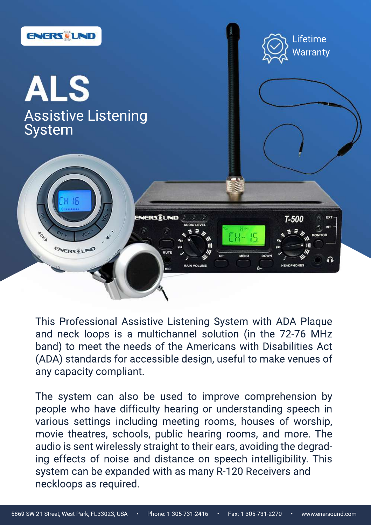

# ALS Assistive Listening<br>System

 $16$ ENERSELIND & B  $T-500$ EXT **AUDIO LEVEL** INT **POHA**  $C_{H}$  $\sqrt{2}$ **MONITOR ENERSOLAD MUTE DOWN MENU** ∩ **MAIN VOLUME HEADPHONES**  $8 -$ **MIC** 

Lifetime

**Warranty** 

This Professional Assistive Listening System with ADA Plaque and neck loops is a multichannel solution (in the 72-76 MHz band) to meet the needs of the Americans with Disabilities Act (ADA) standards for accessible design, useful to make venues of any capacity compliant.

The system can also be used to improve comprehension by people who have difficulty hearing or understanding speech in various settings including meeting rooms, houses of worship, movie theatres, schools, public hearing rooms, and more. The audio is sent wirelessly straight to their ears, avoiding the degrading effects of noise and distance on speech intelligibility. This system can be expanded with as many R-120 Receivers and neckloops as required.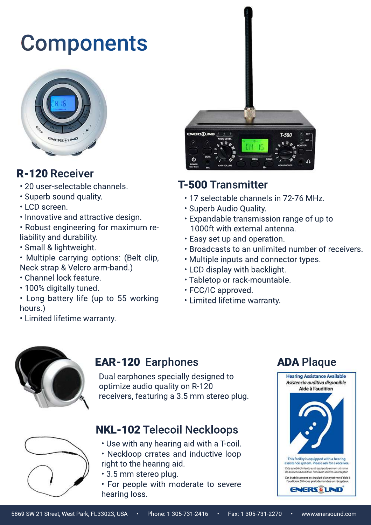- 20 user-selectable channels.
- Superb sound quality.
- LCD screen.
- Innovative and attractive design.
- Robust engineering for maximum reliability and durability.
- Small & lightweight.
- Multiple carrying options: (Belt clip, Neck strap & Velcro arm-band.)
- Channel lock feature.
- 100% digitally tuned.
- Long battery life (up to 55 working hours.)

## Components



## **R-120 Receiver**





## **T-500 Transmitter**

- 17 selectable channels in 72-76 MHz.
- Superb Audio Quality.
- Expandable transmission range of up to 1000ft with external antenna.
- **Easy set up and operation.**
- Broadcasts to an unlimited number of receivers.
- Multiple inputs and connector types.
- LCD display with backlight.
- Tabletop or rack-mountable.
- •FCC/ICapproved.
- Limited lifetime warranty.



#### EAR-120 Earphones **ADA Plaque**

Dual earphones specially designed to optimize audio quality on R-120 receivers, featuring a 3.5 mm stereo plug.

### NKL-102 Telecoil Neckloops

- Use with any hearing aid with a T-coil.
- Neckloop crrates and inductive loop right to the hearing aid.
- · 3.5 mm stereo plug.
- For people with moderate to severe hearing loss.



5869 SW 21 Street, West Park, FL33023, USA • Phone: 1 305-731-2416 • Fax: 1 305-731-2270 • www.enersound.com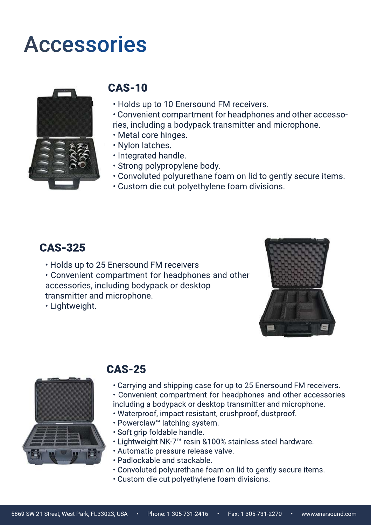- Holds up to 25 Enersound FM receivers
- Convenient compartment for headphones and other accessories, including bodypack or desktop transmitter and microphone.
- •Lightweight.





#### CAS-325

### CAS-25

- Carrying and shipping case for up to 25 Enersound FM receivers.
- Convenient compartment for headphones and other accessories including a bodypack or desktop transmitter and microphone.
- Waterproof, impact resistant, crushproof, dustproof.
- Powerclaw™ latching system.
- Soft grip foldable handle.
- Lightweight NK-7™ resin &100% stainless steel hardware.
- Automatic pressure release valve.
- Padlockable and stackable.
- Convoluted polyurethane foam on lid to gently secure items.
- Custom die cut polyethylene foam divisions.

## CAS-10

- Holds up to 10 Enersound FM receivers.
- Convenient compartment for headphones and other accessories, including a bodypack transmitter and microphone.
- Metal core hinges.
- Nylon latches.
- Integrated handle.
- Strong polypropylene body.
- Convoluted polyurethane foam on lid to gently secure items.
- Custom die cut polyethylene foam divisions.

## Accessories

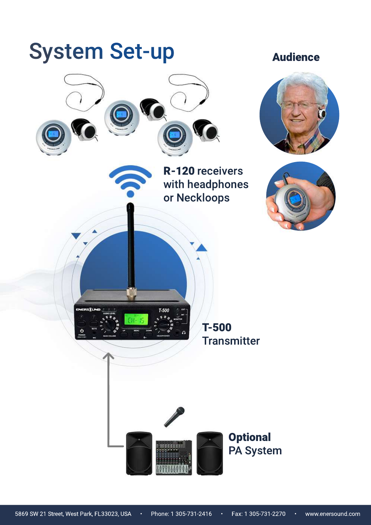## System Set-up

ENERSELND



T-500

5869 SW 21 Street, West Park, FL33023, USA • Phone: 1 305-731-2416 • Fax: 1 305-731-2270 • www.enersound.com

Audience



R-120 receivers with headphones or Neckloops